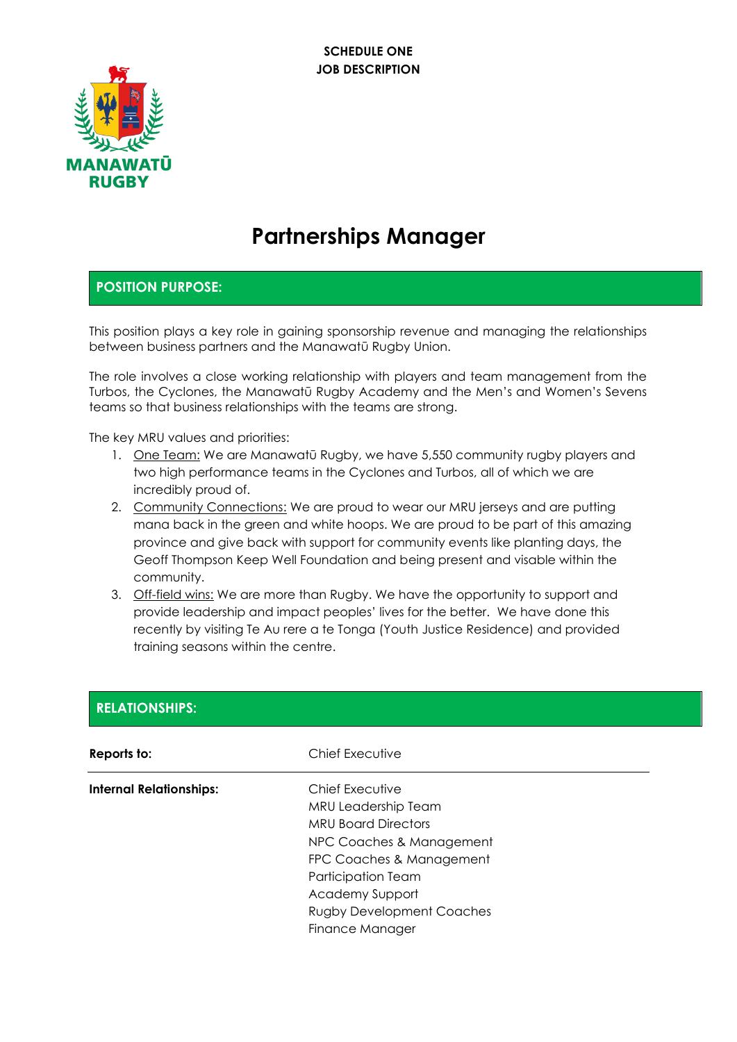

# **Partnerships Manager**

#### **POSITION PURPOSE:**

This position plays a key role in gaining sponsorship revenue and managing the relationships between business partners and the Manawatū Rugby Union.

The role involves a close working relationship with players and team management from the Turbos, the Cyclones, the Manawatū Rugby Academy and the Men's and Women's Sevens teams so that business relationships with the teams are strong.

The key MRU values and priorities:

- 1. One Team: We are Manawatū Rugby, we have 5,550 community rugby players and two high performance teams in the Cyclones and Turbos, all of which we are incredibly proud of.
- 2. Community Connections: We are proud to wear our MRU jerseys and are putting mana back in the green and white hoops. We are proud to be part of this amazing province and give back with support for community events like planting days, the Geoff Thompson Keep Well Foundation and being present and visable within the community.
- 3. Off-field wins: We are more than Rugby. We have the opportunity to support and provide leadership and impact peoples' lives for the better. We have done this recently by visiting Te Au rere a te Tonga (Youth Justice Residence) and provided training seasons within the centre.

| <b>RELATIONSHIPS:</b>          |                                                                                                                                                                                                                                     |  |  |
|--------------------------------|-------------------------------------------------------------------------------------------------------------------------------------------------------------------------------------------------------------------------------------|--|--|
| Reports to:                    | Chief Executive                                                                                                                                                                                                                     |  |  |
| <b>Internal Relationships:</b> | Chief Executive<br>MRU Leadership Team<br><b>MRU Board Directors</b><br>NPC Coaches & Management<br>FPC Coaches & Management<br><b>Participation Team</b><br>Academy Support<br><b>Rugby Development Coaches</b><br>Finance Manager |  |  |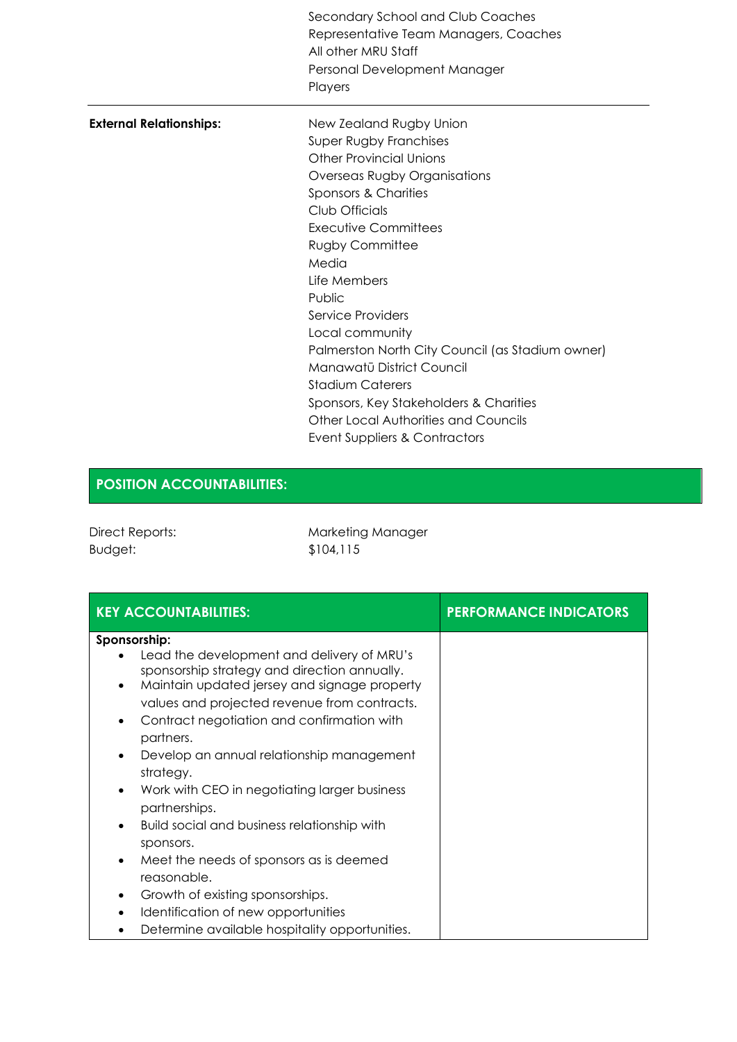|                                | Secondary School and Club Coaches<br>Representative Team Managers, Coaches<br>All other MRU Staff<br>Personal Development Manager<br>Players |
|--------------------------------|----------------------------------------------------------------------------------------------------------------------------------------------|
| <b>External Relationships:</b> | New Zealand Rugby Union                                                                                                                      |
|                                | Super Rugby Franchises                                                                                                                       |
|                                | <b>Other Provincial Unions</b>                                                                                                               |
|                                | Overseas Rugby Organisations                                                                                                                 |
|                                | Sponsors & Charities                                                                                                                         |
|                                | Club Officials                                                                                                                               |
|                                | Executive Committees                                                                                                                         |
|                                | <b>Rugby Committee</b>                                                                                                                       |
|                                | Media                                                                                                                                        |
|                                | Life Members                                                                                                                                 |
|                                | Public                                                                                                                                       |
|                                | Service Providers                                                                                                                            |
|                                | Local community                                                                                                                              |
|                                | Palmerston North City Council (as Stadium owner)                                                                                             |
|                                | Manawatū District Council                                                                                                                    |
|                                | <b>Stadium Caterers</b>                                                                                                                      |
|                                | Sponsors, Key Stakeholders & Charities                                                                                                       |
|                                | Other Local Authorities and Councils                                                                                                         |
|                                | Event Suppliers & Contractors                                                                                                                |

## **POSITION ACCOUNTABILITIES:**

| <b>Direct Reports:</b> |
|------------------------|
| Budget:                |

Marketing Manager \$104,115

| <b>KEY ACCOUNTABILITIES:</b>                                                                                                                                                                                                                                                                                                                                                                                                                                                                                                                                                                                                                                                                                                   | <b>PERFORMANCE INDICATORS</b> |
|--------------------------------------------------------------------------------------------------------------------------------------------------------------------------------------------------------------------------------------------------------------------------------------------------------------------------------------------------------------------------------------------------------------------------------------------------------------------------------------------------------------------------------------------------------------------------------------------------------------------------------------------------------------------------------------------------------------------------------|-------------------------------|
| Sponsorship:<br>Lead the development and delivery of MRU's<br>sponsorship strategy and direction annually.<br>Maintain updated jersey and signage property<br>٠<br>values and projected revenue from contracts.<br>Contract negotiation and confirmation with<br>$\bullet$<br>partners.<br>Develop an annual relationship management<br>$\bullet$<br>strategy.<br>Work with CEO in negotiating larger business<br>$\bullet$<br>partnerships.<br>Build social and business relationship with<br>$\bullet$<br>sponsors.<br>Meet the needs of sponsors as is deemed<br>reasonable.<br>Growth of existing sponsorships.<br>$\bullet$<br>Identification of new opportunities<br>٠<br>Determine available hospitality opportunities. |                               |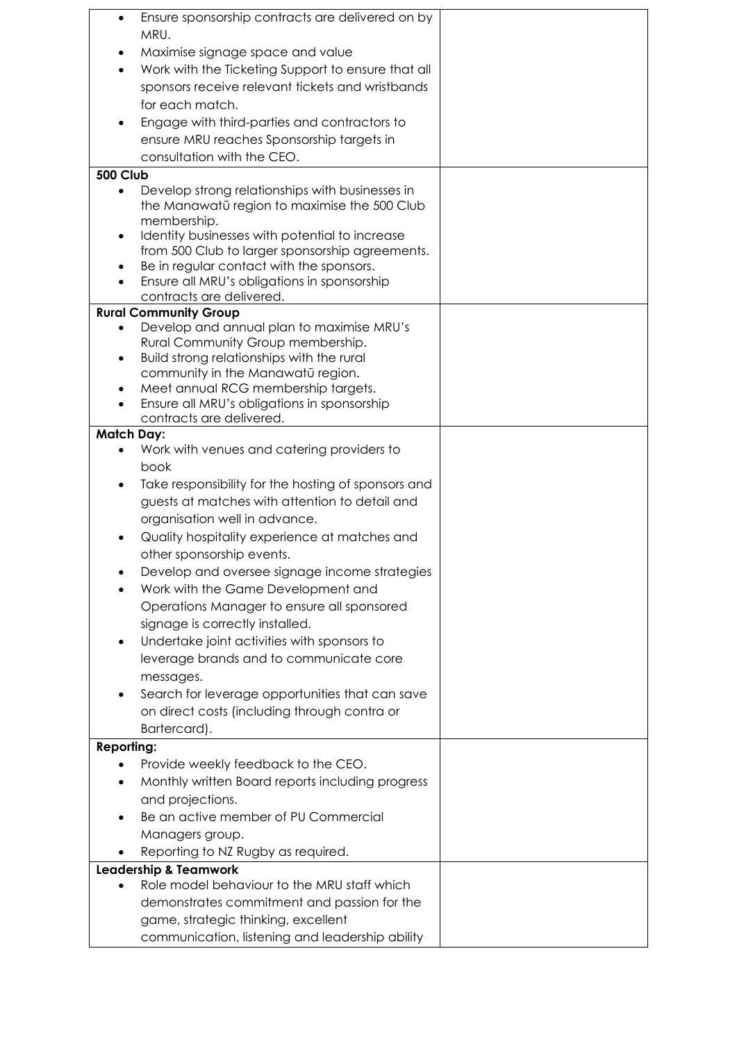| $\bullet$         | Ensure sponsorship contracts are delivered on by                                                |  |
|-------------------|-------------------------------------------------------------------------------------------------|--|
|                   | MRU.                                                                                            |  |
|                   | Maximise signage space and value                                                                |  |
| $\bullet$         | Work with the Ticketing Support to ensure that all                                              |  |
|                   | sponsors receive relevant tickets and wristbands                                                |  |
|                   | for each match.                                                                                 |  |
|                   | Engage with third-parties and contractors to                                                    |  |
|                   | ensure MRU reaches Sponsorship targets in                                                       |  |
|                   | consultation with the CEO.                                                                      |  |
|                   |                                                                                                 |  |
| <b>500 Club</b>   |                                                                                                 |  |
| $\bullet$         | Develop strong relationships with businesses in<br>the Manawatū region to maximise the 500 Club |  |
|                   | membership.                                                                                     |  |
| $\bullet$         | Identity businesses with potential to increase                                                  |  |
|                   | from 500 Club to larger sponsorship agreements.                                                 |  |
|                   | Be in regular contact with the sponsors.                                                        |  |
|                   | Ensure all MRU's obligations in sponsorship                                                     |  |
|                   | contracts are delivered.                                                                        |  |
|                   | <b>Rural Community Group</b>                                                                    |  |
|                   | Develop and annual plan to maximise MRU's                                                       |  |
|                   | Rural Community Group membership.                                                               |  |
|                   | Build strong relationships with the rural                                                       |  |
|                   | community in the Manawatū region.                                                               |  |
|                   | Meet annual RCG membership targets.<br>Ensure all MRU's obligations in sponsorship              |  |
|                   | contracts are delivered.                                                                        |  |
| <b>Match Day:</b> |                                                                                                 |  |
|                   | Work with venues and catering providers to                                                      |  |
|                   | book                                                                                            |  |
|                   | Take responsibility for the hosting of sponsors and                                             |  |
|                   | guests at matches with attention to detail and                                                  |  |
|                   | organisation well in advance.                                                                   |  |
|                   | Quality hospitality experience at matches and                                                   |  |
|                   | other sponsorship events.                                                                       |  |
|                   |                                                                                                 |  |
|                   | Develop and oversee signage income strategies                                                   |  |
|                   | Work with the Game Development and                                                              |  |
|                   | Operations Manager to ensure all sponsored                                                      |  |
|                   | signage is correctly installed.                                                                 |  |
|                   | Undertake joint activities with sponsors to                                                     |  |
|                   | leverage brands and to communicate core                                                         |  |
|                   | messages.                                                                                       |  |
|                   | Search for leverage opportunities that can save                                                 |  |
|                   | on direct costs (including through contra or                                                    |  |
|                   | Bartercard).                                                                                    |  |
| <b>Reporting:</b> |                                                                                                 |  |
|                   | Provide weekly feedback to the CEO.                                                             |  |
|                   | Monthly written Board reports including progress                                                |  |
|                   | and projections.                                                                                |  |
|                   | Be an active member of PU Commercial                                                            |  |
|                   | Managers group.                                                                                 |  |
|                   | Reporting to NZ Rugby as required.                                                              |  |
|                   | <b>Leadership &amp; Teamwork</b>                                                                |  |
|                   | Role model behaviour to the MRU staff which                                                     |  |
|                   | demonstrates commitment and passion for the                                                     |  |
|                   | game, strategic thinking, excellent                                                             |  |
|                   | communication, listening and leadership ability                                                 |  |
|                   |                                                                                                 |  |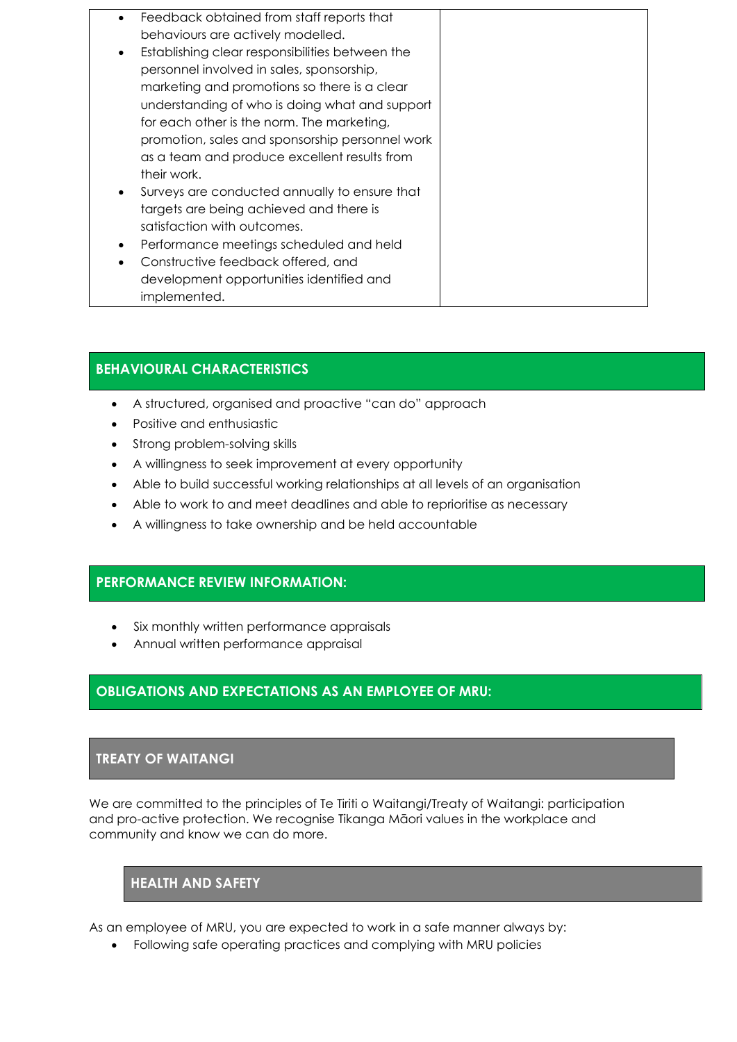- Feedback obtained from staff reports that behaviours are actively modelled.
- Establishing clear responsibilities between the personnel involved in sales, sponsorship, marketing and promotions so there is a clear understanding of who is doing what and support for each other is the norm. The marketing, promotion, sales and sponsorship personnel work as a team and produce excellent results from their work.
- Surveys are conducted annually to ensure that targets are being achieved and there is satisfaction with outcomes.
- Performance meetings scheduled and held
- Constructive feedback offered, and development opportunities identified and implemented.

### **BEHAVIOURAL CHARACTERISTICS**

- A structured, organised and proactive "can do" approach
- Positive and enthusiastic
- Strong problem-solving skills
- A willingness to seek improvement at every opportunity
- Able to build successful working relationships at all levels of an organisation
- Able to work to and meet deadlines and able to reprioritise as necessary
- A willingness to take ownership and be held accountable

### **PERFORMANCE REVIEW INFORMATION:**

- Six monthly written performance appraisals
- Annual written performance appraisal

### **OBLIGATIONS AND EXPECTATIONS AS AN EMPLOYEE OF MRU:**

### **TREATY OF WAITANGI**

We are committed to the principles of Te Tiriti o Waitangi/Treaty of Waitangi: participation and pro-active protection. We recognise Tikanga Māori values in the workplace and community and know we can do more.

### **HEALTH AND SAFETY**

As an employee of MRU, you are expected to work in a safe manner always by:

• Following safe operating practices and complying with MRU policies